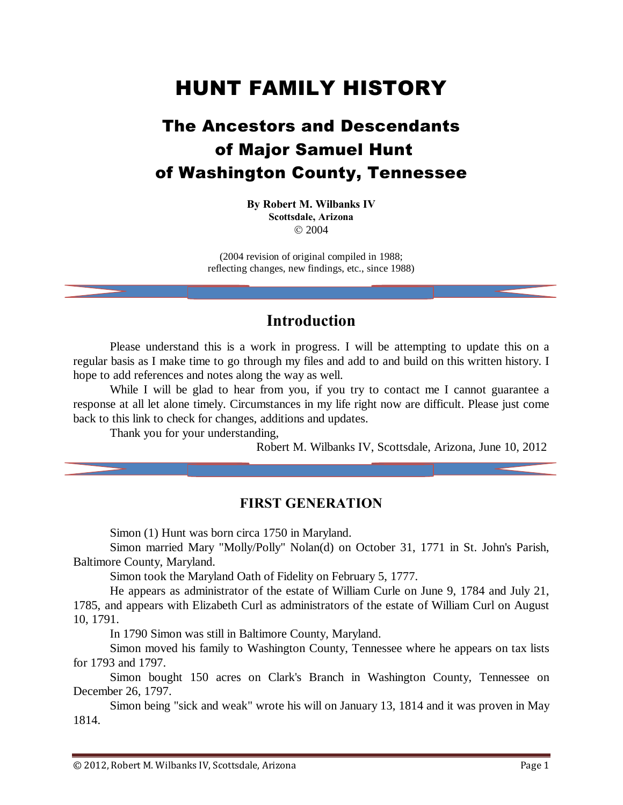# HUNT FAMILY HISTORY

## The Ancestors and Descendants of Major Samuel Hunt of Washington County, Tennessee

#### **By Robert M. Wilbanks IV Scottsdale, Arizona**  $@2004$

(2004 revision of original compiled in 1988; reflecting changes, new findings, etc., since 1988)

#### **Introduction**

Please understand this is a work in progress. I will be attempting to update this on a regular basis as I make time to go through my files and add to and build on this written history. I hope to add references and notes along the way as well.

While I will be glad to hear from you, if you try to contact me I cannot guarantee a response at all let alone timely. Circumstances in my life right now are difficult. Please just come back to this link to check for changes, additions and updates.

Thank you for your understanding,

Robert M. Wilbanks IV, Scottsdale, Arizona, June 10, 2012

#### **FIRST GENERATION**

Simon (1) Hunt was born circa 1750 in Maryland.

Simon married Mary "Molly/Polly" Nolan(d) on October 31, 1771 in St. John's Parish, Baltimore County, Maryland.

Simon took the Maryland Oath of Fidelity on February 5, 1777.

He appears as administrator of the estate of William Curle on June 9, 1784 and July 21, 1785, and appears with Elizabeth Curl as administrators of the estate of William Curl on August 10, 1791.

In 1790 Simon was still in Baltimore County, Maryland.

Simon moved his family to Washington County, Tennessee where he appears on tax lists for 1793 and 1797.

Simon bought 150 acres on Clark's Branch in Washington County, Tennessee on December 26, 1797.

Simon being "sick and weak" wrote his will on January 13, 1814 and it was proven in May 1814.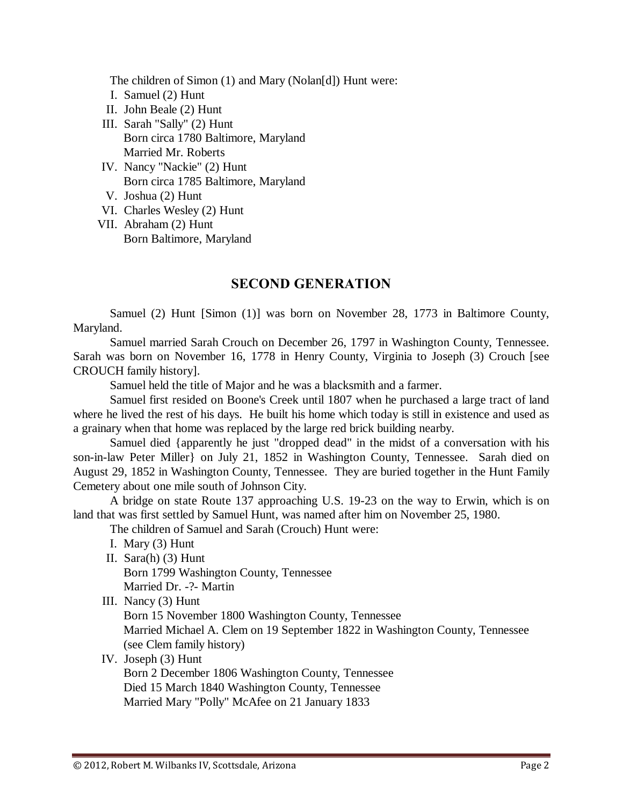The children of Simon (1) and Mary (Nolan[d]) Hunt were:

- I. Samuel (2) Hunt
- II. John Beale (2) Hunt
- III. Sarah "Sally" (2) Hunt Born circa 1780 Baltimore, Maryland Married Mr. Roberts
- IV. Nancy "Nackie" (2) Hunt Born circa 1785 Baltimore, Maryland
- V. Joshua (2) Hunt
- VI. Charles Wesley (2) Hunt
- VII. Abraham (2) Hunt Born Baltimore, Maryland

#### **SECOND GENERATION**

Samuel (2) Hunt [Simon (1)] was born on November 28, 1773 in Baltimore County, Maryland.

Samuel married Sarah Crouch on December 26, 1797 in Washington County, Tennessee. Sarah was born on November 16, 1778 in Henry County, Virginia to Joseph (3) Crouch [see CROUCH family history].

Samuel held the title of Major and he was a blacksmith and a farmer.

Samuel first resided on Boone's Creek until 1807 when he purchased a large tract of land where he lived the rest of his days. He built his home which today is still in existence and used as a grainary when that home was replaced by the large red brick building nearby.

Samuel died {apparently he just "dropped dead" in the midst of a conversation with his son-in-law Peter Miller} on July 21, 1852 in Washington County, Tennessee. Sarah died on August 29, 1852 in Washington County, Tennessee. They are buried together in the Hunt Family Cemetery about one mile south of Johnson City.

A bridge on state Route 137 approaching U.S. 19-23 on the way to Erwin, which is on land that was first settled by Samuel Hunt, was named after him on November 25, 1980.

The children of Samuel and Sarah (Crouch) Hunt were:

- I. Mary (3) Hunt
- II. Sara(h) (3) Hunt Born 1799 Washington County, Tennessee Married Dr. -?- Martin
- III. Nancy (3) Hunt

Born 15 November 1800 Washington County, Tennessee Married Michael A. Clem on 19 September 1822 in Washington County, Tennessee (see Clem family history)

#### IV. Joseph (3) Hunt

Born 2 December 1806 Washington County, Tennessee Died 15 March 1840 Washington County, Tennessee Married Mary "Polly" McAfee on 21 January 1833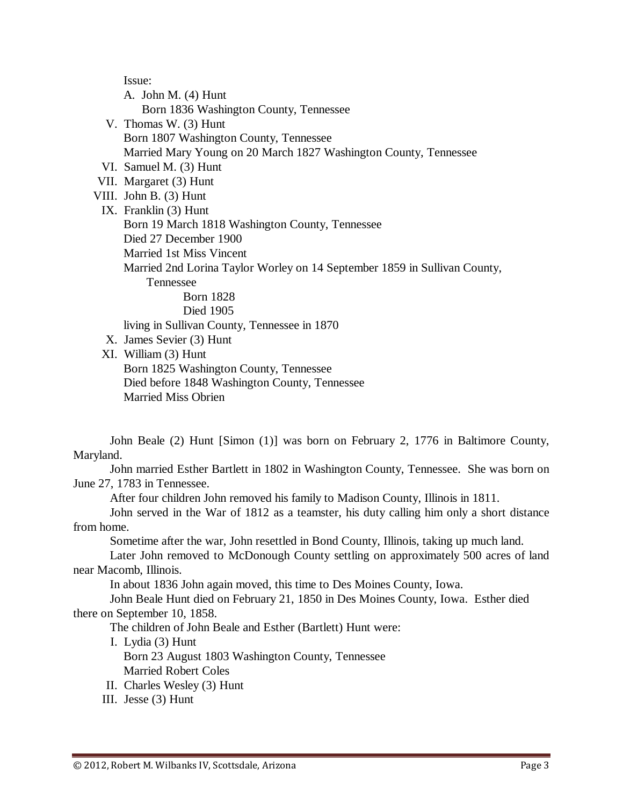Issue:

A. John M. (4) Hunt Born 1836 Washington County, Tennessee V. Thomas W. (3) Hunt Born 1807 Washington County, Tennessee Married Mary Young on 20 March 1827 Washington County, Tennessee VI. Samuel M. (3) Hunt VII. Margaret (3) Hunt VIII. John B. (3) Hunt IX. Franklin (3) Hunt Born 19 March 1818 Washington County, Tennessee Died 27 December 1900 Married 1st Miss Vincent Married 2nd Lorina Taylor Worley on 14 September 1859 in Sullivan County, Tennessee Born 1828 Died 1905 living in Sullivan County, Tennessee in 1870 X. James Sevier (3) Hunt XI. William (3) Hunt

Born 1825 Washington County, Tennessee Died before 1848 Washington County, Tennessee Married Miss Obrien

John Beale (2) Hunt [Simon (1)] was born on February 2, 1776 in Baltimore County, Maryland.

John married Esther Bartlett in 1802 in Washington County, Tennessee. She was born on June 27, 1783 in Tennessee.

After four children John removed his family to Madison County, Illinois in 1811.

John served in the War of 1812 as a teamster, his duty calling him only a short distance from home.

Sometime after the war, John resettled in Bond County, Illinois, taking up much land.

Later John removed to McDonough County settling on approximately 500 acres of land near Macomb, Illinois.

In about 1836 John again moved, this time to Des Moines County, Iowa.

John Beale Hunt died on February 21, 1850 in Des Moines County, Iowa. Esther died there on September 10, 1858.

The children of John Beale and Esther (Bartlett) Hunt were:

I. Lydia (3) Hunt

Born 23 August 1803 Washington County, Tennessee Married Robert Coles

II. Charles Wesley (3) Hunt

III. Jesse (3) Hunt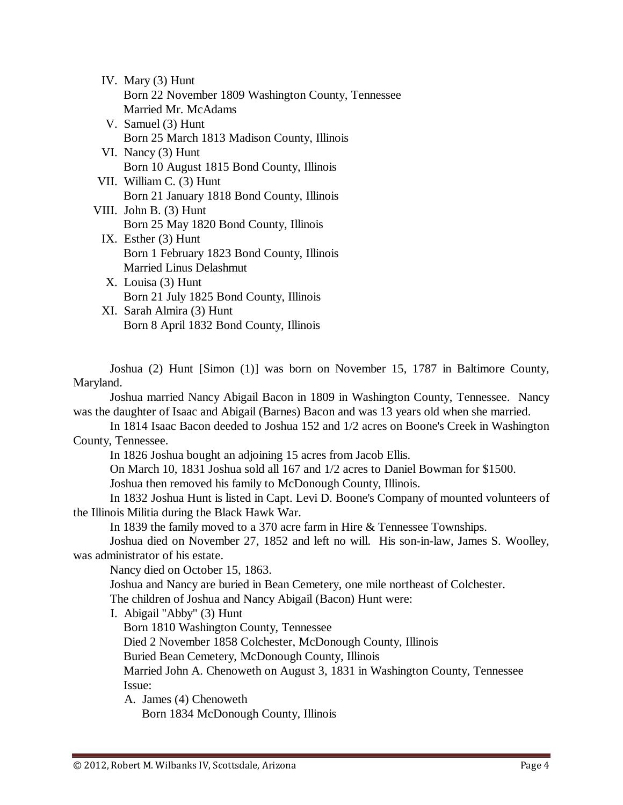| IV. Mary $(3)$ Hunt                                |
|----------------------------------------------------|
| Born 22 November 1809 Washington County, Tennessee |
| Married Mr. McAdams                                |
| V. Samuel (3) Hunt                                 |
| Born 25 March 1813 Madison County Illinois         |

- Born 25 March 1813 Madison County, Illinois VI. Nancy (3) Hunt Born 10 August 1815 Bond County, Illinois
- VII. William C. (3) Hunt Born 21 January 1818 Bond County, Illinois
- VIII. John B. (3) Hunt Born 25 May 1820 Bond County, Illinois
	- IX. Esther (3) Hunt Born 1 February 1823 Bond County, Illinois Married Linus Delashmut
	- X. Louisa (3) Hunt Born 21 July 1825 Bond County, Illinois
	- XI. Sarah Almira (3) Hunt Born 8 April 1832 Bond County, Illinois

Joshua (2) Hunt [Simon (1)] was born on November 15, 1787 in Baltimore County, Maryland.

Joshua married Nancy Abigail Bacon in 1809 in Washington County, Tennessee. Nancy was the daughter of Isaac and Abigail (Barnes) Bacon and was 13 years old when she married.

In 1814 Isaac Bacon deeded to Joshua 152 and 1/2 acres on Boone's Creek in Washington County, Tennessee.

In 1826 Joshua bought an adjoining 15 acres from Jacob Ellis.

On March 10, 1831 Joshua sold all 167 and 1/2 acres to Daniel Bowman for \$1500.

Joshua then removed his family to McDonough County, Illinois.

In 1832 Joshua Hunt is listed in Capt. Levi D. Boone's Company of mounted volunteers of the Illinois Militia during the Black Hawk War.

In 1839 the family moved to a 370 acre farm in Hire & Tennessee Townships.

Joshua died on November 27, 1852 and left no will. His son-in-law, James S. Woolley, was administrator of his estate.

Nancy died on October 15, 1863.

Joshua and Nancy are buried in Bean Cemetery, one mile northeast of Colchester. The children of Joshua and Nancy Abigail (Bacon) Hunt were:

I. Abigail "Abby" (3) Hunt

Born 1810 Washington County, Tennessee

Died 2 November 1858 Colchester, McDonough County, Illinois

Buried Bean Cemetery, McDonough County, Illinois

Married John A. Chenoweth on August 3, 1831 in Washington County, Tennessee Issue:

A. James (4) Chenoweth

Born 1834 McDonough County, Illinois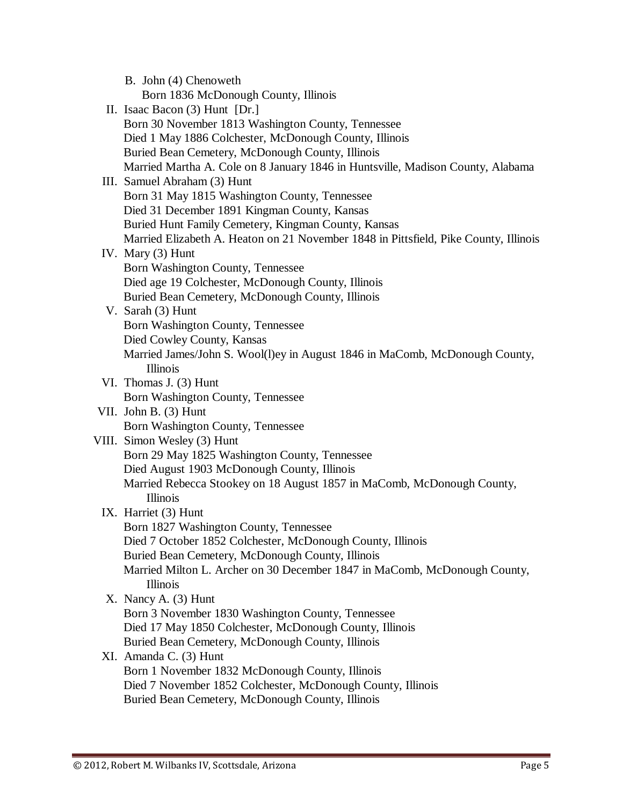| B. John (4) Chenoweth                                                                |
|--------------------------------------------------------------------------------------|
| Born 1836 McDonough County, Illinois                                                 |
| II. Isaac Bacon (3) Hunt [Dr.]                                                       |
| Born 30 November 1813 Washington County, Tennessee                                   |
| Died 1 May 1886 Colchester, McDonough County, Illinois                               |
| Buried Bean Cemetery, McDonough County, Illinois                                     |
| Married Martha A. Cole on 8 January 1846 in Huntsville, Madison County, Alabama      |
| III. Samuel Abraham (3) Hunt                                                         |
| Born 31 May 1815 Washington County, Tennessee                                        |
| Died 31 December 1891 Kingman County, Kansas                                         |
| Buried Hunt Family Cemetery, Kingman County, Kansas                                  |
| Married Elizabeth A. Heaton on 21 November 1848 in Pittsfield, Pike County, Illinois |
| IV. Mary (3) Hunt                                                                    |
| Born Washington County, Tennessee                                                    |
| Died age 19 Colchester, McDonough County, Illinois                                   |
| Buried Bean Cemetery, McDonough County, Illinois                                     |
| V. Sarah (3) Hunt                                                                    |
| Born Washington County, Tennessee                                                    |
| Died Cowley County, Kansas                                                           |
| Married James/John S. Wool(l)ey in August 1846 in MaComb, McDonough County,          |
| Illinois                                                                             |
| VI. Thomas J. (3) Hunt                                                               |
| Born Washington County, Tennessee                                                    |
| VII. John B. (3) Hunt                                                                |
| Born Washington County, Tennessee                                                    |
| VIII. Simon Wesley (3) Hunt                                                          |
| Born 29 May 1825 Washington County, Tennessee                                        |
| Died August 1903 McDonough County, Illinois                                          |
| Married Rebecca Stookey on 18 August 1857 in MaComb, McDonough County,               |
| Illinois                                                                             |
| IX. Harriet (3) Hunt                                                                 |
| Born 1827 Washington County, Tennessee                                               |
| Died 7 October 1852 Colchester, McDonough County, Illinois                           |
| Buried Bean Cemetery, McDonough County, Illinois                                     |
| Married Milton L. Archer on 30 December 1847 in MaComb, McDonough County,            |
| Illinois                                                                             |
| X. Nancy A. (3) Hunt                                                                 |
| Born 3 November 1830 Washington County, Tennessee                                    |
| Died 17 May 1850 Colchester, McDonough County, Illinois                              |
| Buried Bean Cemetery, McDonough County, Illinois                                     |
| XI. Amanda C. (3) Hunt                                                               |
| Born 1 November 1832 McDonough County, Illinois                                      |
| Died 7 November 1852 Colchester, McDonough County, Illinois                          |
| Buried Bean Cemetery, McDonough County, Illinois                                     |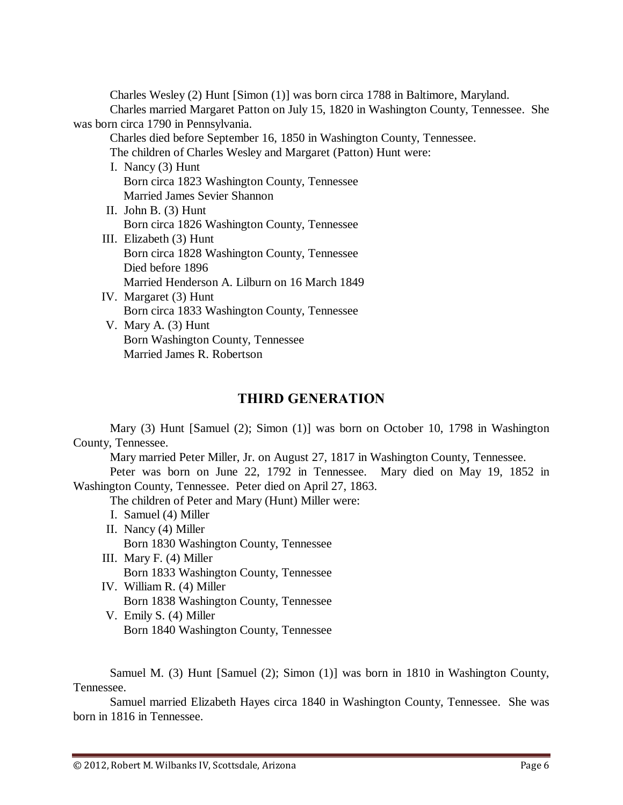Charles Wesley (2) Hunt [Simon (1)] was born circa 1788 in Baltimore, Maryland. Charles married Margaret Patton on July 15, 1820 in Washington County, Tennessee. She was born circa 1790 in Pennsylvania.

Charles died before September 16, 1850 in Washington County, Tennessee. The children of Charles Wesley and Margaret (Patton) Hunt were:

- I. Nancy (3) Hunt Born circa 1823 Washington County, Tennessee Married James Sevier Shannon
- II. John B. (3) Hunt Born circa 1826 Washington County, Tennessee
- III. Elizabeth (3) Hunt Born circa 1828 Washington County, Tennessee Died before 1896 Married Henderson A. Lilburn on 16 March 1849
- IV. Margaret (3) Hunt Born circa 1833 Washington County, Tennessee
- V. Mary A. (3) Hunt Born Washington County, Tennessee Married James R. Robertson

### **THIRD GENERATION**

Mary (3) Hunt [Samuel (2); Simon (1)] was born on October 10, 1798 in Washington County, Tennessee.

Mary married Peter Miller, Jr. on August 27, 1817 in Washington County, Tennessee.

Peter was born on June 22, 1792 in Tennessee. Mary died on May 19, 1852 in Washington County, Tennessee. Peter died on April 27, 1863.

The children of Peter and Mary (Hunt) Miller were:

I. Samuel (4) Miller

II. Nancy (4) Miller

Born 1830 Washington County, Tennessee

- III. Mary F. (4) Miller Born 1833 Washington County, Tennessee
- IV. William R. (4) Miller Born 1838 Washington County, Tennessee
- V. Emily S. (4) Miller Born 1840 Washington County, Tennessee

Samuel M. (3) Hunt [Samuel (2); Simon (1)] was born in 1810 in Washington County, Tennessee.

Samuel married Elizabeth Hayes circa 1840 in Washington County, Tennessee. She was born in 1816 in Tennessee.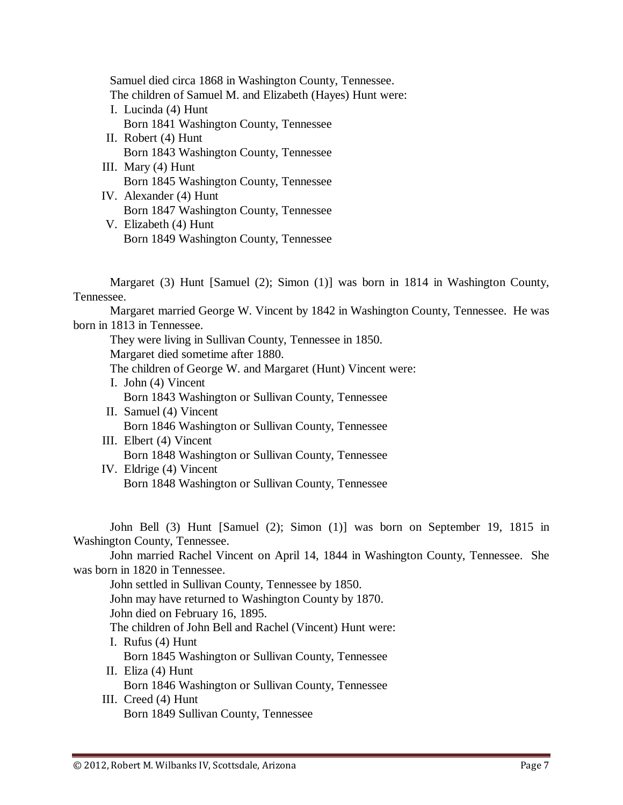Samuel died circa 1868 in Washington County, Tennessee. The children of Samuel M. and Elizabeth (Hayes) Hunt were: I. Lucinda (4) Hunt Born 1841 Washington County, Tennessee II. Robert (4) Hunt Born 1843 Washington County, Tennessee III. Mary (4) Hunt Born 1845 Washington County, Tennessee IV. Alexander (4) Hunt

Born 1847 Washington County, Tennessee V. Elizabeth (4) Hunt Born 1849 Washington County, Tennessee

Margaret (3) Hunt [Samuel (2); Simon (1)] was born in 1814 in Washington County, Tennessee.

Margaret married George W. Vincent by 1842 in Washington County, Tennessee. He was born in 1813 in Tennessee.

They were living in Sullivan County, Tennessee in 1850.

Margaret died sometime after 1880.

The children of George W. and Margaret (Hunt) Vincent were:

- I. John (4) Vincent Born 1843 Washington or Sullivan County, Tennessee II. Samuel (4) Vincent
	- Born 1846 Washington or Sullivan County, Tennessee
- III. Elbert (4) Vincent Born 1848 Washington or Sullivan County, Tennessee
- IV. Eldrige (4) Vincent Born 1848 Washington or Sullivan County, Tennessee

John Bell (3) Hunt [Samuel (2); Simon (1)] was born on September 19, 1815 in Washington County, Tennessee.

John married Rachel Vincent on April 14, 1844 in Washington County, Tennessee. She was born in 1820 in Tennessee.

John settled in Sullivan County, Tennessee by 1850. John may have returned to Washington County by 1870. John died on February 16, 1895. The children of John Bell and Rachel (Vincent) Hunt were: I. Rufus (4) Hunt Born 1845 Washington or Sullivan County, Tennessee II. Eliza (4) Hunt Born 1846 Washington or Sullivan County, Tennessee III. Creed (4) Hunt

Born 1849 Sullivan County, Tennessee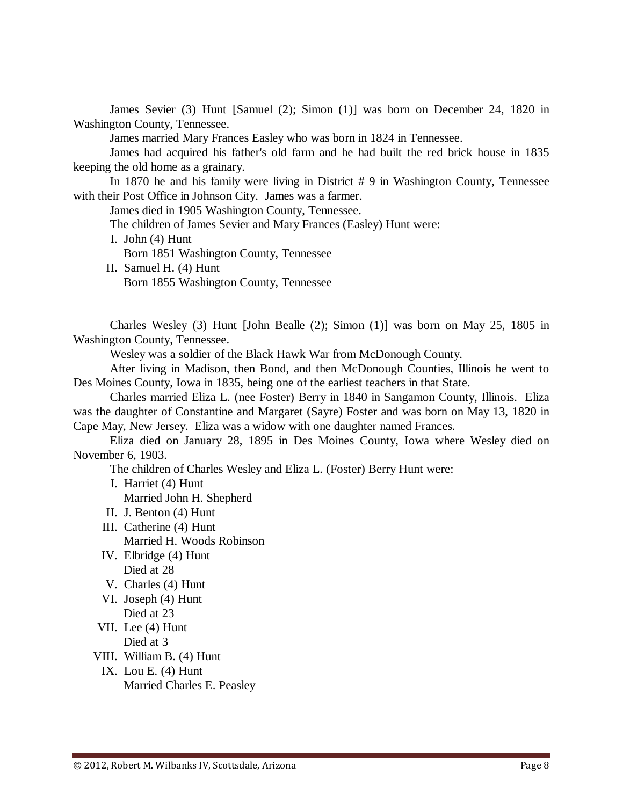James Sevier (3) Hunt [Samuel (2); Simon (1)] was born on December 24, 1820 in Washington County, Tennessee.

James married Mary Frances Easley who was born in 1824 in Tennessee.

James had acquired his father's old farm and he had built the red brick house in 1835 keeping the old home as a grainary.

In 1870 he and his family were living in District # 9 in Washington County, Tennessee with their Post Office in Johnson City. James was a farmer.

James died in 1905 Washington County, Tennessee.

The children of James Sevier and Mary Frances (Easley) Hunt were:

- I. John (4) Hunt Born 1851 Washington County, Tennessee
- II. Samuel H. (4) Hunt

Born 1855 Washington County, Tennessee

Charles Wesley (3) Hunt [John Bealle (2); Simon (1)] was born on May 25, 1805 in Washington County, Tennessee.

Wesley was a soldier of the Black Hawk War from McDonough County.

After living in Madison, then Bond, and then McDonough Counties, Illinois he went to Des Moines County, Iowa in 1835, being one of the earliest teachers in that State.

Charles married Eliza L. (nee Foster) Berry in 1840 in Sangamon County, Illinois. Eliza was the daughter of Constantine and Margaret (Sayre) Foster and was born on May 13, 1820 in Cape May, New Jersey. Eliza was a widow with one daughter named Frances.

Eliza died on January 28, 1895 in Des Moines County, Iowa where Wesley died on November 6, 1903.

The children of Charles Wesley and Eliza L. (Foster) Berry Hunt were:

I. Harriet (4) Hunt

Married John H. Shepherd

- II. J. Benton (4) Hunt
- III. Catherine (4) Hunt Married H. Woods Robinson
- IV. Elbridge (4) Hunt Died at 28
- V. Charles (4) Hunt
- VI. Joseph (4) Hunt Died at 23
- VII. Lee (4) Hunt
	- Died at 3
- VIII. William B. (4) Hunt
	- IX. Lou E. (4) Hunt Married Charles E. Peasley